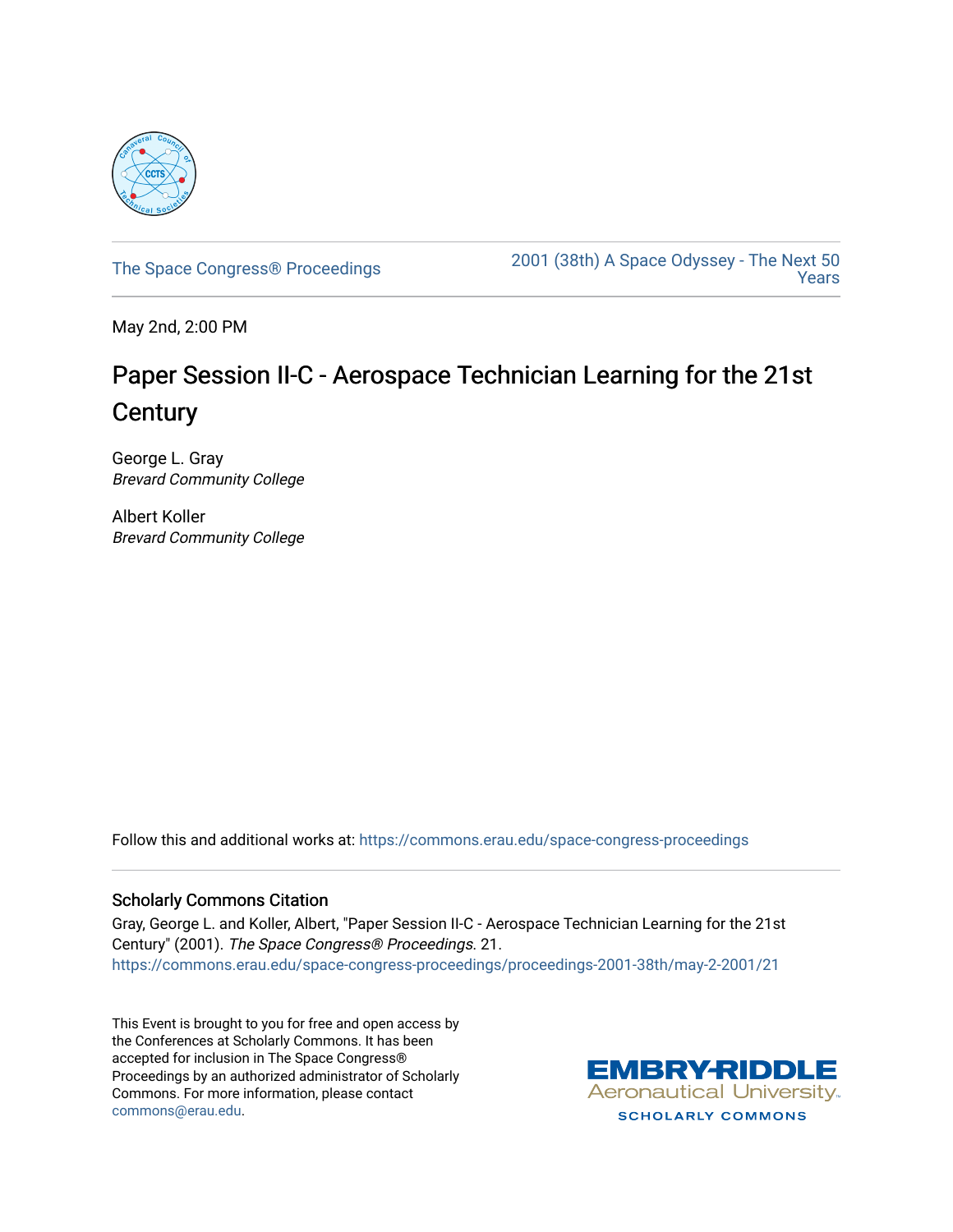

[The Space Congress® Proceedings](https://commons.erau.edu/space-congress-proceedings) [2001 \(38th\) A Space Odyssey - The Next 50](https://commons.erau.edu/space-congress-proceedings/proceedings-2001-38th)  [Years](https://commons.erau.edu/space-congress-proceedings/proceedings-2001-38th) 

May 2nd, 2:00 PM

### Paper Session II-C - Aerospace Technician Learning for the 21st **Century**

George L. Gray Brevard Community College

Albert Koller Brevard Community College

Follow this and additional works at: [https://commons.erau.edu/space-congress-proceedings](https://commons.erau.edu/space-congress-proceedings?utm_source=commons.erau.edu%2Fspace-congress-proceedings%2Fproceedings-2001-38th%2Fmay-2-2001%2F21&utm_medium=PDF&utm_campaign=PDFCoverPages)

#### Scholarly Commons Citation

Gray, George L. and Koller, Albert, "Paper Session II-C - Aerospace Technician Learning for the 21st Century" (2001). The Space Congress® Proceedings. 21. [https://commons.erau.edu/space-congress-proceedings/proceedings-2001-38th/may-2-2001/21](https://commons.erau.edu/space-congress-proceedings/proceedings-2001-38th/may-2-2001/21?utm_source=commons.erau.edu%2Fspace-congress-proceedings%2Fproceedings-2001-38th%2Fmay-2-2001%2F21&utm_medium=PDF&utm_campaign=PDFCoverPages)

This Event is brought to you for free and open access by the Conferences at Scholarly Commons. It has been accepted for inclusion in The Space Congress® Proceedings by an authorized administrator of Scholarly Commons. For more information, please contact [commons@erau.edu](mailto:commons@erau.edu).

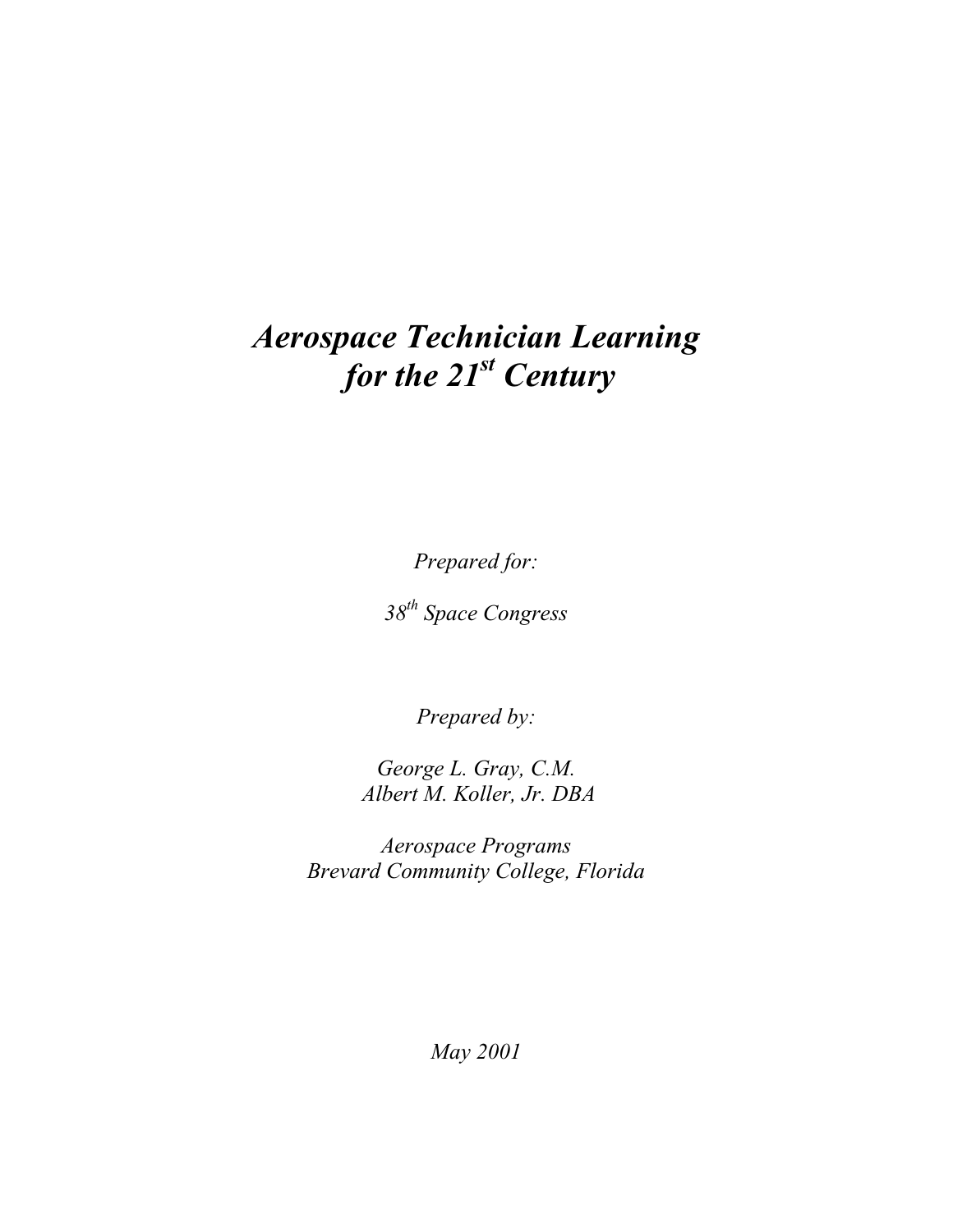# *Aerospace Technician Learning for the 21st Century*

*Prepared for:*

*38th Space Congress*

*Prepared by:*

*George L. Gray, C.M. Albert M. Koller, Jr. DBA*

*Aerospace Programs Brevard Community College, Florida*

*May 2001*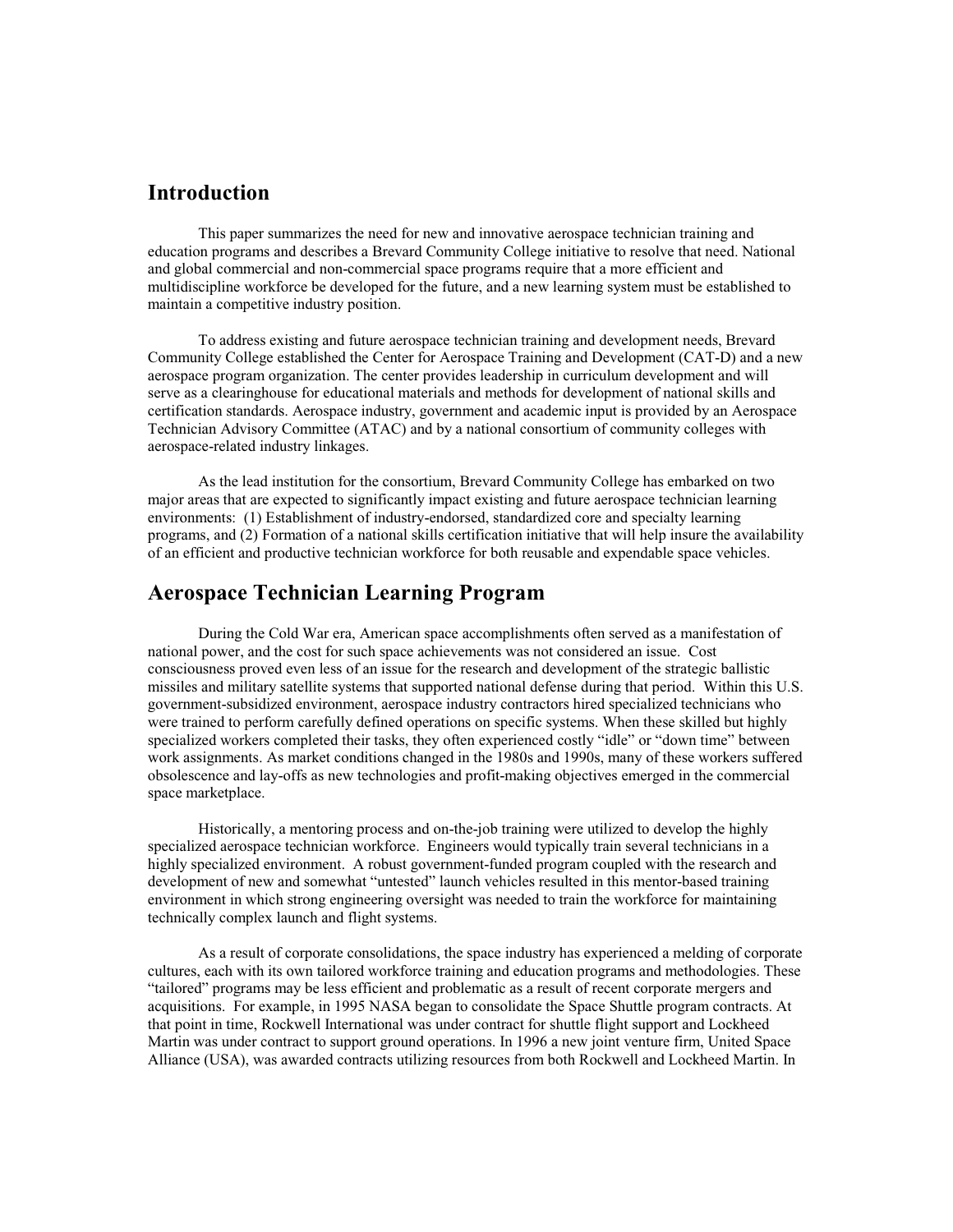#### **Introduction**

This paper summarizes the need for new and innovative aerospace technician training and education programs and describes a Brevard Community College initiative to resolve that need. National and global commercial and non-commercial space programs require that a more efficient and multidiscipline workforce be developed for the future, and a new learning system must be established to maintain a competitive industry position.

To address existing and future aerospace technician training and development needs, Brevard Community College established the Center for Aerospace Training and Development (CAT-D) and a new aerospace program organization. The center provides leadership in curriculum development and will serve as a clearinghouse for educational materials and methods for development of national skills and certification standards. Aerospace industry, government and academic input is provided by an Aerospace Technician Advisory Committee (ATAC) and by a national consortium of community colleges with aerospace-related industry linkages.

As the lead institution for the consortium, Brevard Community College has embarked on two major areas that are expected to significantly impact existing and future aerospace technician learning environments: (1) Establishment of industry-endorsed, standardized core and specialty learning programs, and (2) Formation of a national skills certification initiative that will help insure the availability of an efficient and productive technician workforce for both reusable and expendable space vehicles.

#### **Aerospace Technician Learning Program**

During the Cold War era, American space accomplishments often served as a manifestation of national power, and the cost for such space achievements was not considered an issue. Cost consciousness proved even less of an issue for the research and development of the strategic ballistic missiles and military satellite systems that supported national defense during that period. Within this U.S. government-subsidized environment, aerospace industry contractors hired specialized technicians who were trained to perform carefully defined operations on specific systems. When these skilled but highly specialized workers completed their tasks, they often experienced costly "idle" or "down time" between work assignments. As market conditions changed in the 1980s and 1990s, many of these workers suffered obsolescence and lay-offs as new technologies and profit-making objectives emerged in the commercial space marketplace.

Historically, a mentoring process and on-the-job training were utilized to develop the highly specialized aerospace technician workforce. Engineers would typically train several technicians in a highly specialized environment. A robust government-funded program coupled with the research and development of new and somewhat "untested" launch vehicles resulted in this mentor-based training environment in which strong engineering oversight was needed to train the workforce for maintaining technically complex launch and flight systems.

As a result of corporate consolidations, the space industry has experienced a melding of corporate cultures, each with its own tailored workforce training and education programs and methodologies. These "tailored" programs may be less efficient and problematic as a result of recent corporate mergers and acquisitions. For example, in 1995 NASA began to consolidate the Space Shuttle program contracts. At that point in time, Rockwell International was under contract for shuttle flight support and Lockheed Martin was under contract to support ground operations. In 1996 a new joint venture firm, United Space Alliance (USA), was awarded contracts utilizing resources from both Rockwell and Lockheed Martin. In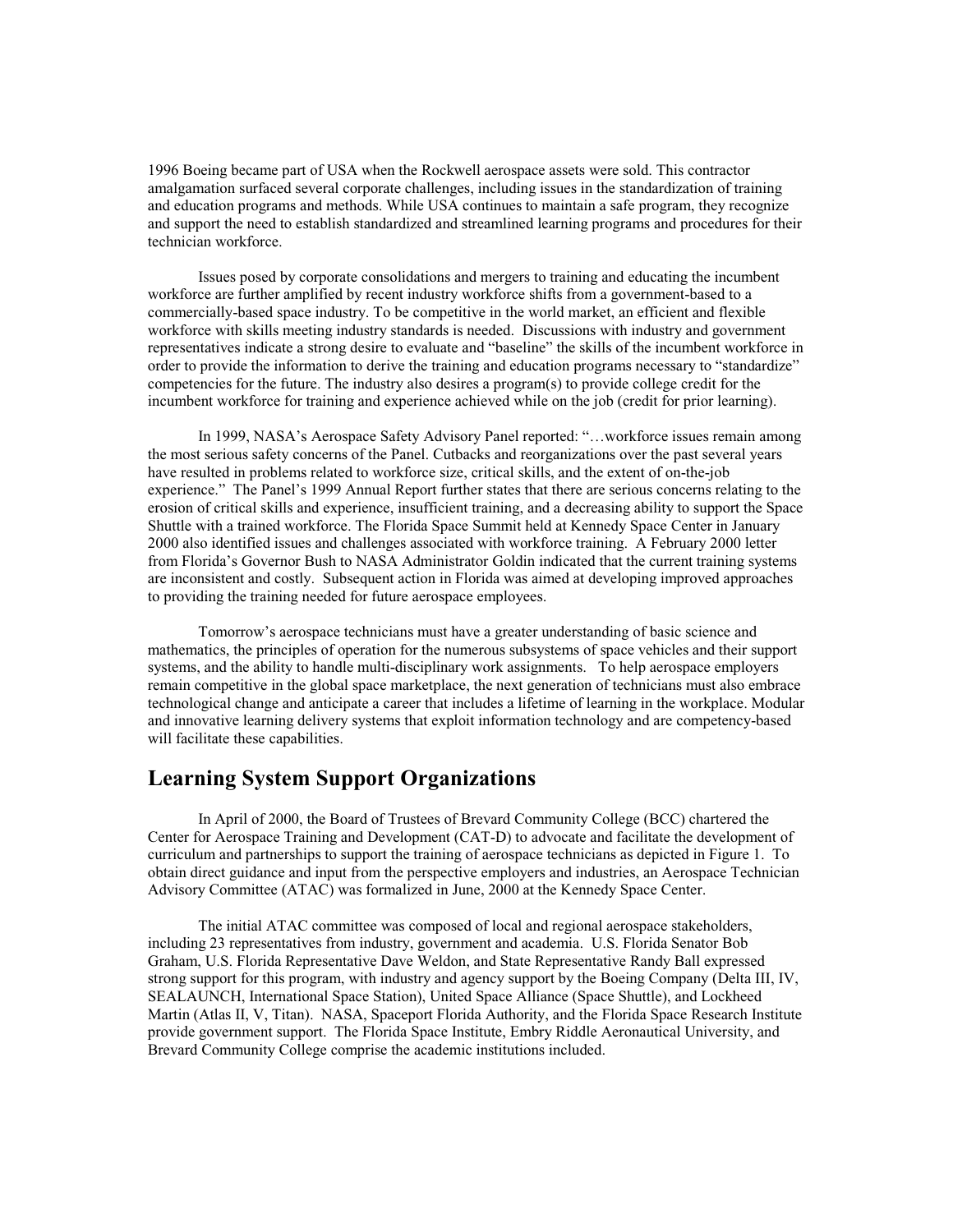1996 Boeing became part of USA when the Rockwell aerospace assets were sold. This contractor amalgamation surfaced several corporate challenges, including issues in the standardization of training and education programs and methods. While USA continues to maintain a safe program, they recognize and support the need to establish standardized and streamlined learning programs and procedures for their technician workforce.

Issues posed by corporate consolidations and mergers to training and educating the incumbent workforce are further amplified by recent industry workforce shifts from a government-based to a commercially-based space industry. To be competitive in the world market, an efficient and flexible workforce with skills meeting industry standards is needed. Discussions with industry and government representatives indicate a strong desire to evaluate and "baseline" the skills of the incumbent workforce in order to provide the information to derive the training and education programs necessary to "standardize" competencies for the future. The industry also desires a program(s) to provide college credit for the incumbent workforce for training and experience achieved while on the job (credit for prior learning).

In 1999, NASA's Aerospace Safety Advisory Panel reported: "…workforce issues remain among the most serious safety concerns of the Panel. Cutbacks and reorganizations over the past several years have resulted in problems related to workforce size, critical skills, and the extent of on-the-job experience." The Panel's 1999 Annual Report further states that there are serious concerns relating to the erosion of critical skills and experience, insufficient training, and a decreasing ability to support the Space Shuttle with a trained workforce. The Florida Space Summit held at Kennedy Space Center in January 2000 also identified issues and challenges associated with workforce training. A February 2000 letter from Florida's Governor Bush to NASA Administrator Goldin indicated that the current training systems are inconsistent and costly. Subsequent action in Florida was aimed at developing improved approaches to providing the training needed for future aerospace employees.

Tomorrow's aerospace technicians must have a greater understanding of basic science and mathematics, the principles of operation for the numerous subsystems of space vehicles and their support systems, and the ability to handle multi-disciplinary work assignments. To help aerospace employers remain competitive in the global space marketplace, the next generation of technicians must also embrace technological change and anticipate a career that includes a lifetime of learning in the workplace. Modular and innovative learning delivery systems that exploit information technology and are competency-based will facilitate these capabilities.

#### **Learning System Support Organizations**

In April of 2000, the Board of Trustees of Brevard Community College (BCC) chartered the Center for Aerospace Training and Development (CAT-D) to advocate and facilitate the development of curriculum and partnerships to support the training of aerospace technicians as depicted in Figure 1. To obtain direct guidance and input from the perspective employers and industries, an Aerospace Technician Advisory Committee (ATAC) was formalized in June, 2000 at the Kennedy Space Center.

The initial ATAC committee was composed of local and regional aerospace stakeholders, including 23 representatives from industry, government and academia. U.S. Florida Senator Bob Graham, U.S. Florida Representative Dave Weldon, and State Representative Randy Ball expressed strong support for this program, with industry and agency support by the Boeing Company (Delta III, IV, SEALAUNCH, International Space Station), United Space Alliance (Space Shuttle), and Lockheed Martin (Atlas II, V, Titan). NASA, Spaceport Florida Authority, and the Florida Space Research Institute provide government support. The Florida Space Institute, Embry Riddle Aeronautical University, and Brevard Community College comprise the academic institutions included.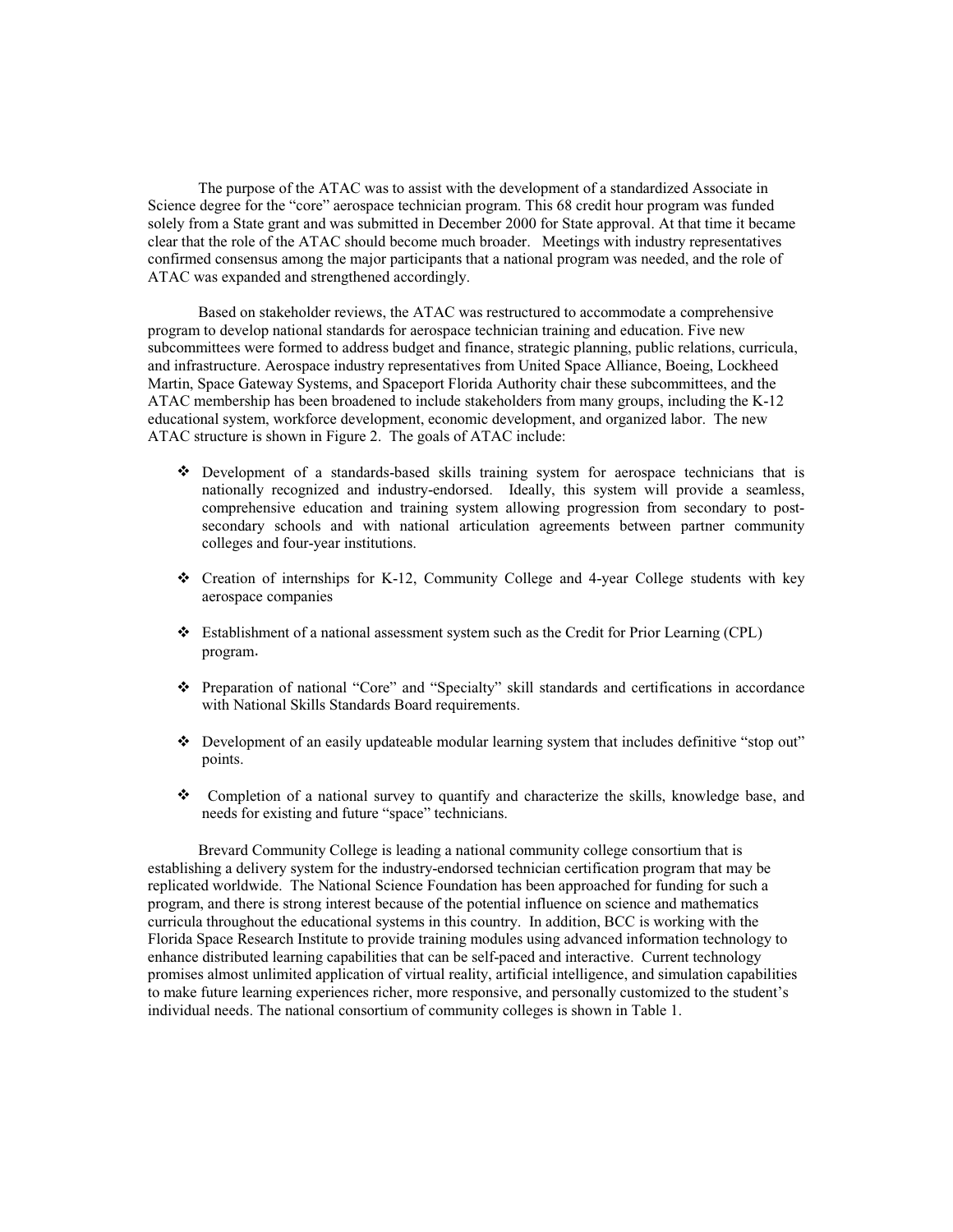The purpose of the ATAC was to assist with the development of a standardized Associate in Science degree for the "core" aerospace technician program. This 68 credit hour program was funded solely from a State grant and was submitted in December 2000 for State approval. At that time it became clear that the role of the ATAC should become much broader. Meetings with industry representatives confirmed consensus among the major participants that a national program was needed, and the role of ATAC was expanded and strengthened accordingly.

Based on stakeholder reviews, the ATAC was restructured to accommodate a comprehensive program to develop national standards for aerospace technician training and education. Five new subcommittees were formed to address budget and finance, strategic planning, public relations, curricula, and infrastructure. Aerospace industry representatives from United Space Alliance, Boeing, Lockheed Martin, Space Gateway Systems, and Spaceport Florida Authority chair these subcommittees, and the ATAC membership has been broadened to include stakeholders from many groups, including the K-12 educational system, workforce development, economic development, and organized labor. The new ATAC structure is shown in Figure 2. The goals of ATAC include:

- $\triangle$  Development of a standards-based skills training system for aerospace technicians that is nationally recognized and industry-endorsed. Ideally, this system will provide a seamless, comprehensive education and training system allowing progression from secondary to postsecondary schools and with national articulation agreements between partner community colleges and four-year institutions.
- Creation of internships for K-12, Community College and 4-year College students with key aerospace companies
- Establishment of a national assessment system such as the Credit for Prior Learning (CPL) program.
- Preparation of national "Core" and "Specialty" skill standards and certifications in accordance with National Skills Standards Board requirements.
- \* Development of an easily updateable modular learning system that includes definitive "stop out" points.
- Completion of a national survey to quantify and characterize the skills, knowledge base, and needs for existing and future "space" technicians.

Brevard Community College is leading a national community college consortium that is establishing a delivery system for the industry-endorsed technician certification program that may be replicated worldwide. The National Science Foundation has been approached for funding for such a program, and there is strong interest because of the potential influence on science and mathematics curricula throughout the educational systems in this country. In addition, BCC is working with the Florida Space Research Institute to provide training modules using advanced information technology to enhance distributed learning capabilities that can be self-paced and interactive. Current technology promises almost unlimited application of virtual reality, artificial intelligence, and simulation capabilities to make future learning experiences richer, more responsive, and personally customized to the student's individual needs. The national consortium of community colleges is shown in Table 1.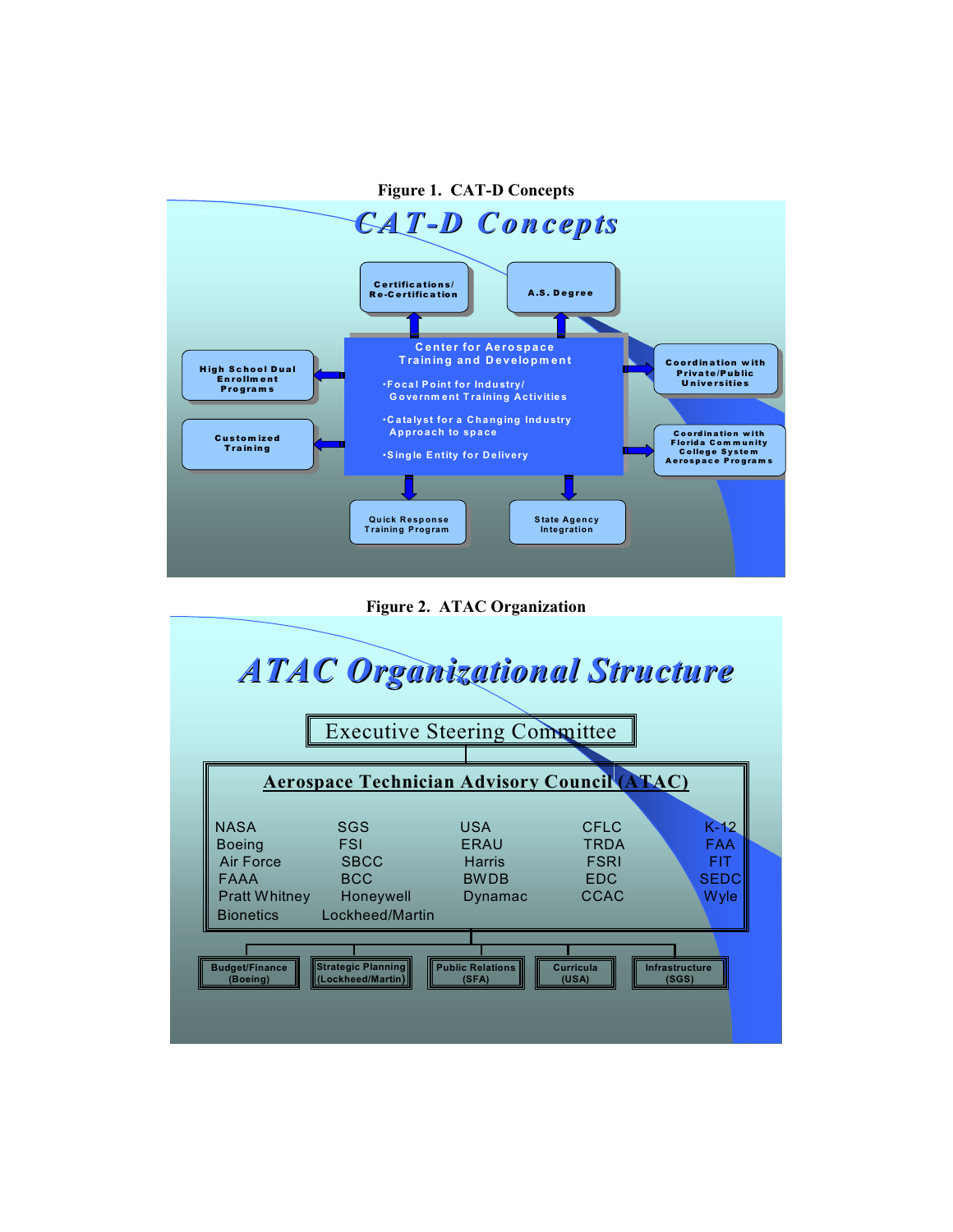

**Figure 2. ATAC Organization**

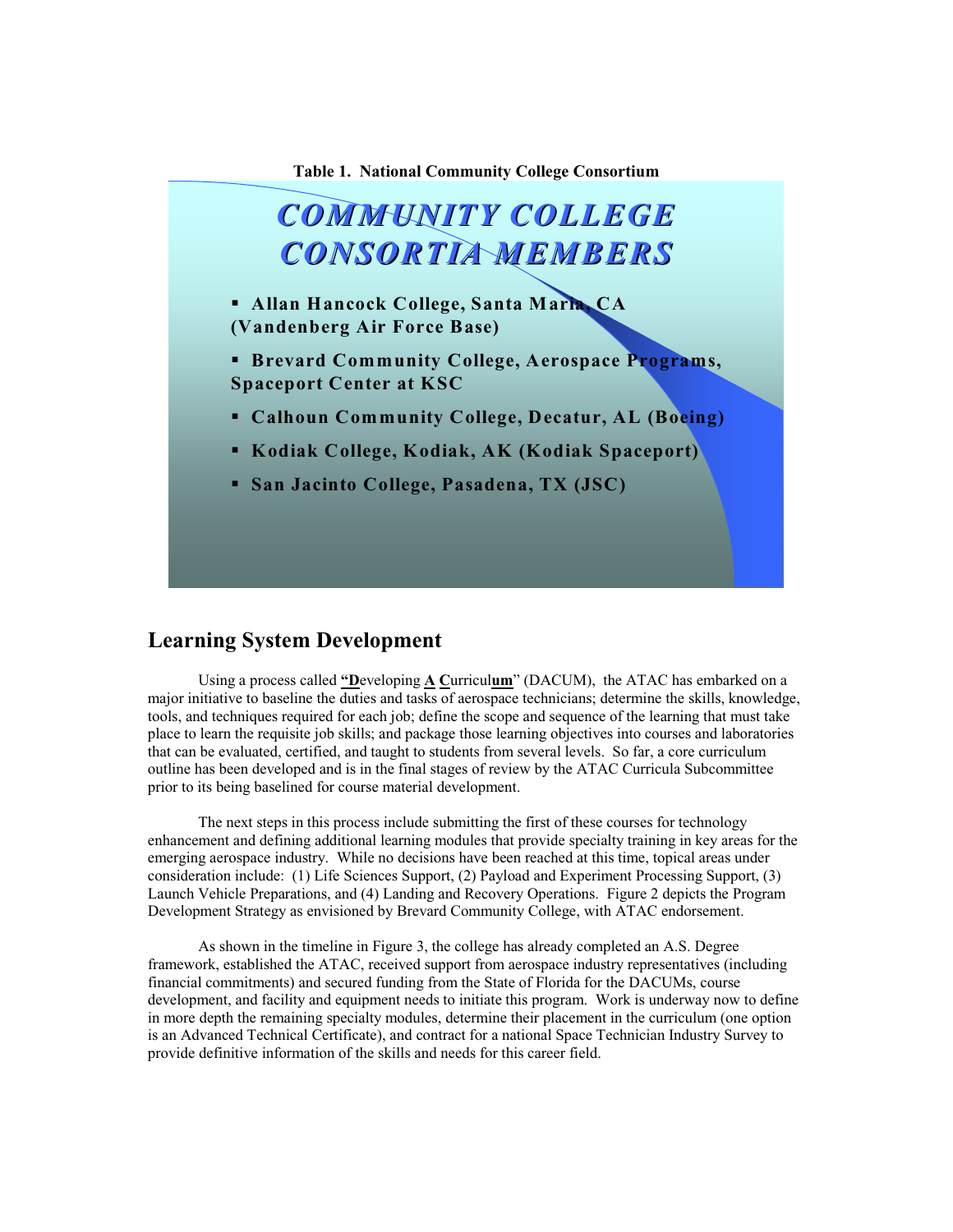

## *COMMUNITY COLLEGE COMMUNITY COLLEGE CONSORTIA MEMBERS CONSORTIA MEMBERS*

- **Allan Hancock College, Santa Maria, CA (Vandenberg Air Force Base)**

**Example 3 Exercise 3 Ferry Programs, Brevard Community College, Aerospace Programs, Spaceport Center at KSC**

- **Calhoun Community College, Decatur, AL (Boeing)**
- **Kodiak College, Kodiak, AK (Kodiak Spaceport)**
- **San Jacinto College, Pasadena, TX (JSC)**

### **Learning System Development**

Using a process called **"D**eveloping  $\underline{A}$  **Curriculum"** (DACUM), the ATAC has embarked on a major initiative to baseline the duties and tasks of aerospace technicians; determine the skills, knowledge, tools, and techniques required for each job; define the scope and sequence of the learning that must take place to learn the requisite job skills; and package those learning objectives into courses and laboratories that can be evaluated, certified, and taught to students from several levels. So far, a core curriculum outline has been developed and is in the final stages of review by the ATAC Curricula Subcommittee prior to its being baselined for course material development.

The next steps in this process include submitting the first of these courses for technology enhancement and defining additional learning modules that provide specialty training in key areas for the emerging aerospace industry. While no decisions have been reached at this time, topical areas under consideration include: (1) Life Sciences Support, (2) Payload and Experiment Processing Support, (3) Launch Vehicle Preparations, and (4) Landing and Recovery Operations. Figure 2 depicts the Program Development Strategy as envisioned by Brevard Community College, with ATAC endorsement.

As shown in the timeline in Figure 3, the college has already completed an A.S. Degree framework, established the ATAC, received support from aerospace industry representatives (including financial commitments) and secured funding from the State of Florida for the DACUMs, course development, and facility and equipment needs to initiate this program. Work is underway now to define in more depth the remaining specialty modules, determine their placement in the curriculum (one option is an Advanced Technical Certificate), and contract for a national Space Technician Industry Survey to provide definitive information of the skills and needs for this career field.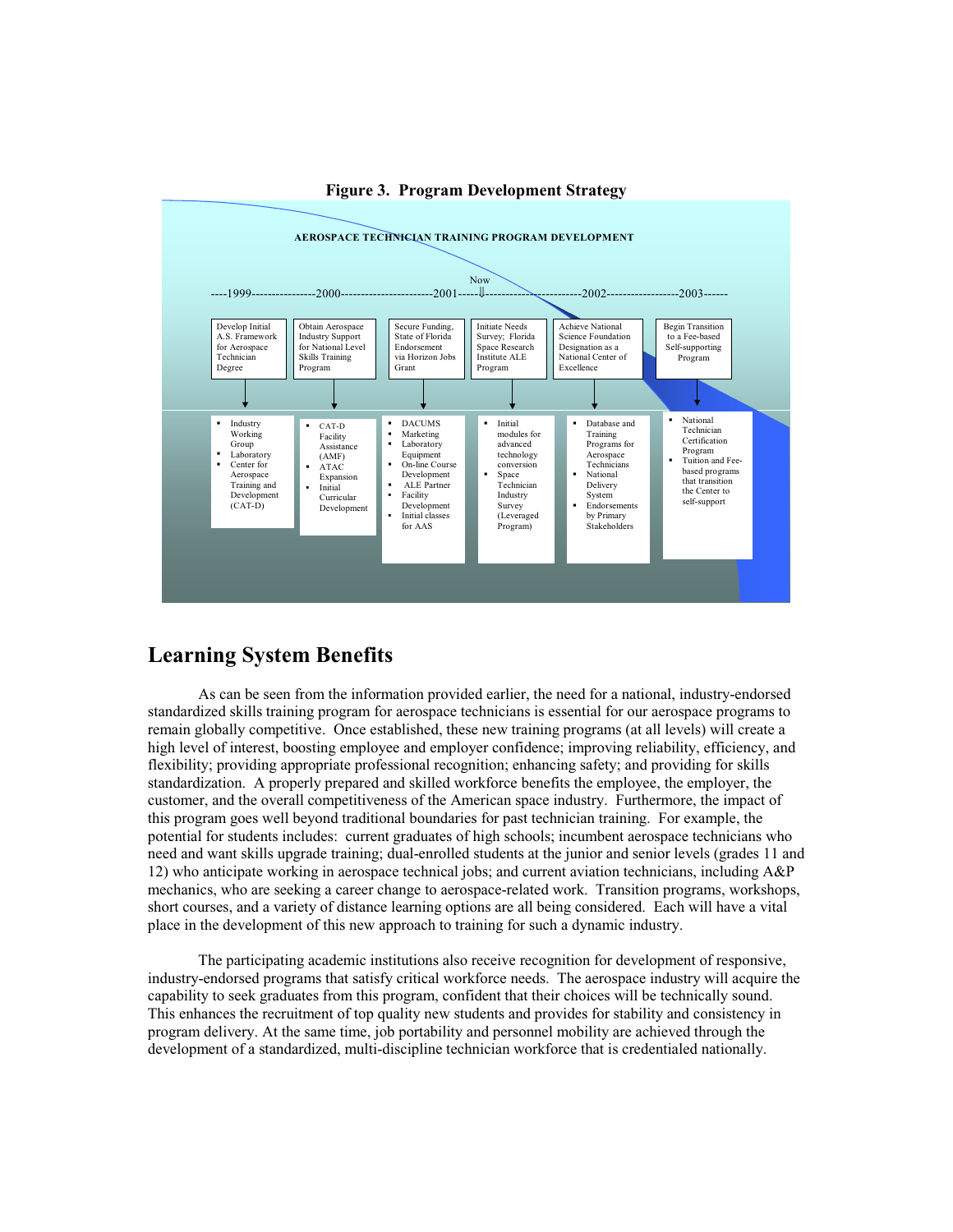

**Figure 3. Program Development Strategy**

### **Learning System Benefits**

As can be seen from the information provided earlier, the need for a national, industry-endorsed standardized skills training program for aerospace technicians is essential for our aerospace programs to remain globally competitive. Once established, these new training programs (at all levels) will create a high level of interest, boosting employee and employer confidence; improving reliability, efficiency, and flexibility; providing appropriate professional recognition; enhancing safety; and providing for skills standardization. A properly prepared and skilled workforce benefits the employee, the employer, the customer, and the overall competitiveness of the American space industry. Furthermore, the impact of this program goes well beyond traditional boundaries for past technician training. For example, the potential for students includes: current graduates of high schools; incumbent aerospace technicians who need and want skills upgrade training; dual-enrolled students at the junior and senior levels (grades 11 and 12) who anticipate working in aerospace technical jobs; and current aviation technicians, including A&P mechanics, who are seeking a career change to aerospace-related work. Transition programs, workshops, short courses, and a variety of distance learning options are all being considered. Each will have a vital place in the development of this new approach to training for such a dynamic industry.

The participating academic institutions also receive recognition for development of responsive, industry-endorsed programs that satisfy critical workforce needs. The aerospace industry will acquire the capability to seek graduates from this program, confident that their choices will be technically sound. This enhances the recruitment of top quality new students and provides for stability and consistency in program delivery. At the same time, job portability and personnel mobility are achieved through the development of a standardized, multi-discipline technician workforce that is credentialed nationally.